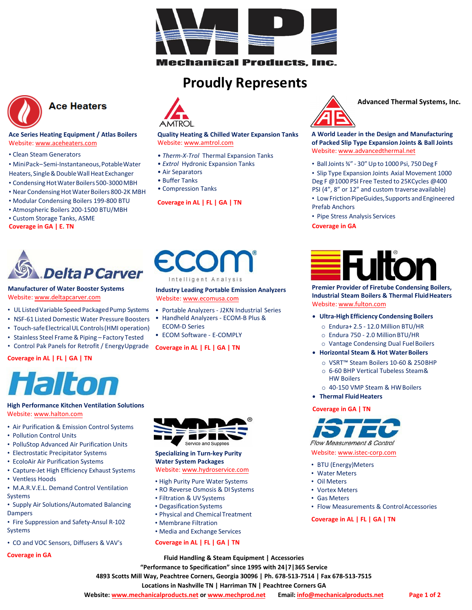

echanical Products, Inc.

### **Proudly Represents**

**[Quality Heating & Chilled Water](www.amtrol.com) Expansion Tanks**

• *Therm-X-Trol* [Thermal Expansion T](http://www.advancedthermal.net/)anks • *Extrol* Hydronic Expansion Tanks

Website: www.amtrol.com

**Coverage in AL | FL | GA | TN** 

• Air Separators • Buffer Tanks • Compression Tanks



### **Ace Heaters**

### **Ace Series Heating Equipment / Atlas Boilers** Website: [www.aceheaters.com](http://www.aceheaters.com/)

- Clean Steam Generators
- MiniPack– Semi‐Instantaneous,PotableWater Heaters, Single & Double Wall Heat Exchanger
- Condensing Hot Water Boilers 500-3000 MBH
- Near Condensing Hot Water Boilers 800-2K MBH
- Modular Condensing Boilers 199‐800 BTU
- Atmospheric Boilers 200‐1500 BTU/MBH
- Custom Storage Tanks, ASME
- **Coverage in GA | E. TN**



### **Manufacturer of Water Booster Systems** Website: [www.deltapcarver.co](https://deltapcarver.com/)m

- UL Listed Variable Speed Packaged Pump Systems
- NSF‐61 Listed Domestic Water Pressure Boosters
- Touch-safe Electrical UL Controls (HMI operation)
- Stainless Steel Frame & Piping Factory Tested
- Control Pak Panels for Retrofit / EnergyUpgrade

### **Coverage in AL | FL | GA | TN**



### **High Performance Kitchen Ventilation Solutions** Website: www.halton.com

- Air Purification & Emission Control Systems
- Pollution Control Units
- PolluStop Advanced Air Purification Units
- Electrostatic Precipitator Systems
- EcoloAir Air Purification Systems
- Capture‐Jet [High Efficiency](http://www.hydroservice.com/) Exhaust Systems
- Ventless Hoods
- M.A.R.V.E.L. Demand Control Ventilation Systems
- Supply Air Solutions/Automated Balancing Dampers
- Fire Suppression and Safety‐Ansul R‐102 Systems
- CO and VOC Sensors, Diffusers & VAV's

### **Coverage in GA**



### Website: www.hydroservice.com

- High Purity Pure Water Systems
- RO Reverse Osmosis & DI Systems
- Filtration & UV Systems
- Degasification Systems • Physical and ChemicalTreatment
- Membrane Filtration
- Media and Exchange Services

### **Coverage in AL | FL | GA | TN**



**Advanced Thermal Systems, Inc.**

**A World Leader in the Design and Manufacturing of Packed Slip Type [Expansion](http://www.deltapcarver.com/) Joints & Ball Joints**  Website: www.advancedthermal.net

- BallJoints ¾" ‐ 30" Up to 1000 Psi, 750 Deg F
- Slip Type Expansion Joints Axial Movement 1000 Deg F @1000 PSI Free Tested to 25KCycles @400 PSI (4", 8" or 12" and custom traverse available)
- Low Friction PipeGuides, Supports and Engineered Prefab Anchors
- Pipe Stress Analysis Services

**Coverage in GA**



**Premier Provider of Firetube Condensing Boilers, Industri[al Steam Boilers & T](http://www.halton.com/)hermal FluidHeaters**  Website: www.fulton.com

### • **Ultra‐High Efficiency Condensing Boilers**

- o Endura+ 2.5 ‐ 12.0 Million BTU/HR
- o Endura 750 ‐ 2.0 MillionBTU/HR
- o Vantage Condensing Dual FuelBoilers

### • **Horizontal Steam & Hot WaterBoilers**

- o VSRT™ Steam Boilers 10‐60 & 250BHP
- o 6‐60 BHP Vertical Tubeless Steam& HW Boilers
- o 40‐150 VMP Steam & HWBoilers
- **Thermal Fluid Heaters**

#### **Coverage in GA | TN**



Website: [www.istec](istec-corp.com)‐corp.com

- BTU (Energy)Meters
- Water Meters
- Oil Meters
- Vortex Meters
- Gas Meters
- Flow Measurements & ControlAccessories

**Coverage in AL | FL | GA | TN**

**Fluid Handling & Steam Equipment | Accessories** 

**"Performance to Specification" since 1995 with 24|7|365 Service** 

**4893 Scotts Mill Way, Peachtree Corners, Georgia 30096 | Ph. 678-513-7514 | Fax 678-513-7515**

**Locations in Nashville TN | Harriman TN | Peachtree Corners GA**

**Website: [www.mechanicalproducts.net](http://www.mechanicalproducts.net/) or [www.mechprod.net](http://www.mechprod.net/) Email: [info@mechanicalproducts.net](mailto:info@mechanicalproducts.net)**



### **Industry Leading Portable Emission Analyzers** Website: [www.ecomusa.co](http://www.fulton.com/)m

- Portable Analyzers ‐ J2KN Industrial Series
- Handheld Analyzers ‐ ECOM‐B Plus &

## ECOM‐D Series • ECOM Software ‐ E‐COMPLY

### **Coverage in AL | FL | GA | TN**